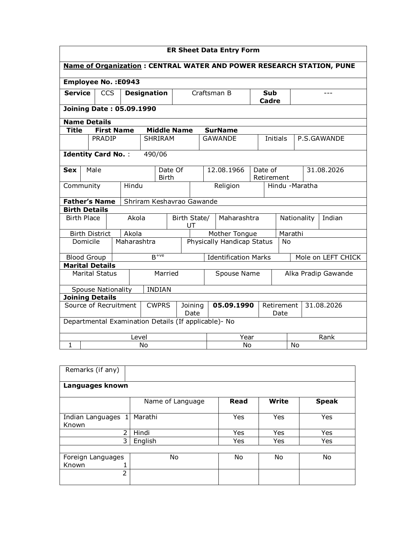|                                                                             | <b>ER Sheet Data Entry Form</b>                  |                        |                           |                         |             |                           |                                   |                        |                                     |                                                      |                    |                     |             |            |             |
|-----------------------------------------------------------------------------|--------------------------------------------------|------------------------|---------------------------|-------------------------|-------------|---------------------------|-----------------------------------|------------------------|-------------------------------------|------------------------------------------------------|--------------------|---------------------|-------------|------------|-------------|
| <b>Name of Organization: CENTRAL WATER AND POWER RESEARCH STATION, PUNE</b> |                                                  |                        |                           |                         |             |                           |                                   |                        |                                     |                                                      |                    |                     |             |            |             |
| <b>Employee No.: E0943</b>                                                  |                                                  |                        |                           |                         |             |                           |                                   |                        |                                     |                                                      |                    |                     |             |            |             |
| <b>Service</b>                                                              |                                                  | <b>CCS</b>             |                           | <b>Designation</b>      |             |                           |                                   | Craftsman B            |                                     |                                                      |                    | <b>Sub</b><br>Cadre |             |            |             |
|                                                                             | <b>Joining Date: 05.09.1990</b>                  |                        |                           |                         |             |                           |                                   |                        |                                     |                                                      |                    |                     |             |            |             |
| <b>Name Details</b>                                                         |                                                  |                        |                           |                         |             |                           |                                   |                        |                                     |                                                      |                    |                     |             |            |             |
| <b>Title</b>                                                                |                                                  |                        | <b>First Name</b>         |                         |             | <b>Middle Name</b>        |                                   |                        |                                     | <b>SurName</b>                                       |                    |                     |             |            |             |
|                                                                             |                                                  | <b>PRADIP</b>          |                           |                         |             | <b>SHRIRAM</b>            |                                   |                        |                                     | <b>GAWANDE</b>                                       |                    | Initials            |             |            | P.S.GAWANDE |
|                                                                             | <b>Identity Card No.:</b><br>490/06              |                        |                           |                         |             |                           |                                   |                        |                                     |                                                      |                    |                     |             |            |             |
| <b>Sex</b>                                                                  | Male                                             |                        |                           | Date Of<br><b>Birth</b> |             |                           |                                   |                        | 12.08.1966<br>Date of<br>Retirement |                                                      |                    | 31.08.2026          |             |            |             |
| Community                                                                   |                                                  |                        |                           | Hindu                   |             |                           |                                   |                        |                                     | Religion                                             |                    | Hindu -Maratha      |             |            |             |
|                                                                             |                                                  | <b>Father's Name</b>   |                           |                         |             | Shriram Keshavrao Gawande |                                   |                        |                                     |                                                      |                    |                     |             |            |             |
| <b>Birth Details</b>                                                        |                                                  |                        |                           |                         |             |                           |                                   |                        |                                     |                                                      |                    |                     |             |            |             |
| <b>Birth Place</b>                                                          |                                                  |                        |                           | Akola                   |             |                           | Birth State/                      | UT                     |                                     | Maharashtra                                          |                    |                     | Nationality |            | Indian      |
|                                                                             |                                                  | <b>Birth District</b>  |                           | Akola                   |             |                           |                                   |                        |                                     | Mother Tongue                                        |                    |                     | Marathi     |            |             |
|                                                                             | Domicile                                         |                        |                           |                         | Maharashtra |                           | <b>Physically Handicap Status</b> |                        |                                     |                                                      |                    |                     | <b>No</b>   |            |             |
| <b>Blood Group</b>                                                          |                                                  |                        |                           |                         |             | $B$ <sup>+ve</sup>        | <b>Identification Marks</b>       |                        |                                     |                                                      |                    | Mole on LEFT CHICK  |             |            |             |
|                                                                             |                                                  | <b>Marital Details</b> |                           |                         |             |                           |                                   |                        |                                     |                                                      |                    |                     |             |            |             |
|                                                                             |                                                  | <b>Marital Status</b>  |                           |                         |             | Married                   | Spouse Name                       |                        |                                     | Alka Pradip Gawande                                  |                    |                     |             |            |             |
|                                                                             |                                                  |                        | <b>Spouse Nationality</b> |                         |             | <b>INDIAN</b>             |                                   |                        |                                     |                                                      |                    |                     |             |            |             |
|                                                                             |                                                  | <b>Joining Details</b> |                           |                         |             |                           |                                   |                        |                                     |                                                      |                    |                     |             |            |             |
|                                                                             | Source of Recruitment<br><b>CWPRS</b><br>Joining |                        |                           |                         |             |                           | Date                              |                        | 05.09.1990                          |                                                      | Retirement<br>Date |                     |             | 31.08.2026 |             |
|                                                                             |                                                  |                        |                           |                         |             |                           |                                   |                        |                                     | Departmental Examination Details (If applicable)- No |                    |                     |             |            |             |
|                                                                             |                                                  |                        |                           | Level                   |             |                           |                                   |                        |                                     | Year                                                 |                    |                     | Rank        |            |             |
| $\mathbf{1}$                                                                | No                                               |                        |                           |                         |             |                           |                                   | <b>No</b><br><b>No</b> |                                     |                                                      |                    |                     |             |            |             |

| Remarks (if any)            |                  |      |              |              |  |  |  |  |  |  |  |
|-----------------------------|------------------|------|--------------|--------------|--|--|--|--|--|--|--|
| Languages known             |                  |      |              |              |  |  |  |  |  |  |  |
|                             | Name of Language | Read | <b>Write</b> | <b>Speak</b> |  |  |  |  |  |  |  |
| Indian Languages 1<br>Known | Marathi          | Yes  | Yes          | Yes          |  |  |  |  |  |  |  |
| 2                           | Hindi            | Yes  | Yes          | Yes          |  |  |  |  |  |  |  |
| 3                           | English          | Yes  | Yes          | Yes          |  |  |  |  |  |  |  |
|                             |                  |      |              |              |  |  |  |  |  |  |  |
| Foreign Languages           | No               | No   | No           | No           |  |  |  |  |  |  |  |
| Known                       |                  |      |              |              |  |  |  |  |  |  |  |
| $\overline{2}$              |                  |      |              |              |  |  |  |  |  |  |  |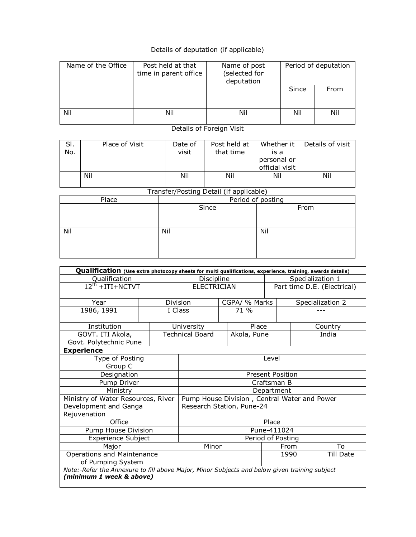## Details of deputation (if applicable)

| Name of the Office | Post held at that<br>time in parent office | Name of post<br>(selected for<br>deputation | Period of deputation |      |  |
|--------------------|--------------------------------------------|---------------------------------------------|----------------------|------|--|
|                    |                                            |                                             | Since                | From |  |
| Nil                | Nil                                        | Nil                                         | Nil                  | Nil  |  |

Details of Foreign Visit

| SI.<br>No. | Place of Visit | Date of<br>visit | Post held at<br>that time | Whether it<br>is a<br>personal or<br>official visit | Details of visit |
|------------|----------------|------------------|---------------------------|-----------------------------------------------------|------------------|
|            | Nil            | Nil              | Nil                       | Nil                                                 | Nil              |

Transfer/Posting Detail (if applicable)

| Place | Period of posting |      |  |  |  |  |  |
|-------|-------------------|------|--|--|--|--|--|
|       | Since             | From |  |  |  |  |  |
|       |                   |      |  |  |  |  |  |
|       |                   |      |  |  |  |  |  |
| Nil   | Nil               | Nil  |  |  |  |  |  |
|       |                   |      |  |  |  |  |  |
|       |                   |      |  |  |  |  |  |
|       |                   |      |  |  |  |  |  |

| Qualification (Use extra photocopy sheets for multi qualifications, experience, training, awards details) |                   |                   |                                              |  |                    |                             |                  |         |  |  |
|-----------------------------------------------------------------------------------------------------------|-------------------|-------------------|----------------------------------------------|--|--------------------|-----------------------------|------------------|---------|--|--|
| Qualification                                                                                             | Discipline        |                   | Specialization 1                             |  |                    |                             |                  |         |  |  |
| $12^{th}$ + ITI + NCTVT                                                                                   |                   |                   |                                              |  | <b>ELECTRICIAN</b> | Part time D.E. (Electrical) |                  |         |  |  |
|                                                                                                           |                   |                   |                                              |  |                    |                             |                  |         |  |  |
| Year                                                                                                      | Division          |                   |                                              |  | CGPA/ % Marks      | Specialization 2            |                  |         |  |  |
| 1986, 1991                                                                                                |                   |                   | I Class                                      |  | 71.96              |                             |                  |         |  |  |
|                                                                                                           |                   |                   |                                              |  |                    |                             |                  |         |  |  |
| Institution                                                                                               |                   |                   | University                                   |  | Place              |                             |                  | Country |  |  |
| GOVT. ITI Akola,                                                                                          |                   |                   | <b>Technical Board</b>                       |  | Akola, Pune        |                             |                  | India   |  |  |
| Govt. Polytechnic Pune                                                                                    |                   |                   |                                              |  |                    |                             |                  |         |  |  |
| <b>Experience</b>                                                                                         |                   |                   |                                              |  |                    |                             |                  |         |  |  |
| Type of Posting                                                                                           |                   |                   |                                              |  |                    | Level                       |                  |         |  |  |
| Group C                                                                                                   |                   |                   |                                              |  |                    |                             |                  |         |  |  |
| Designation                                                                                               |                   |                   | <b>Present Position</b>                      |  |                    |                             |                  |         |  |  |
| Pump Driver                                                                                               |                   |                   | Craftsman B                                  |  |                    |                             |                  |         |  |  |
| Ministry                                                                                                  |                   |                   | Department                                   |  |                    |                             |                  |         |  |  |
| Ministry of Water Resources, River                                                                        |                   |                   | Pump House Division, Central Water and Power |  |                    |                             |                  |         |  |  |
| Development and Ganga                                                                                     |                   |                   | Research Station, Pune-24                    |  |                    |                             |                  |         |  |  |
| Rejuvenation                                                                                              |                   |                   |                                              |  |                    |                             |                  |         |  |  |
| Office                                                                                                    |                   |                   |                                              |  |                    | Place                       |                  |         |  |  |
| Pump House Division                                                                                       |                   |                   | Pune-411024                                  |  |                    |                             |                  |         |  |  |
| Experience Subject                                                                                        |                   | Period of Posting |                                              |  |                    |                             |                  |         |  |  |
| Major                                                                                                     |                   |                   | Minor                                        |  |                    | From                        |                  | To      |  |  |
| Operations and Maintenance                                                                                |                   |                   |                                              |  |                    | 1990                        | <b>Till Date</b> |         |  |  |
|                                                                                                           | of Pumping System |                   |                                              |  |                    |                             |                  |         |  |  |
| Note:-Refer the Annexure to fill above Major, Minor Subjects and below given training subject             |                   |                   |                                              |  |                    |                             |                  |         |  |  |
| (minimum 1 week & above)                                                                                  |                   |                   |                                              |  |                    |                             |                  |         |  |  |
|                                                                                                           |                   |                   |                                              |  |                    |                             |                  |         |  |  |